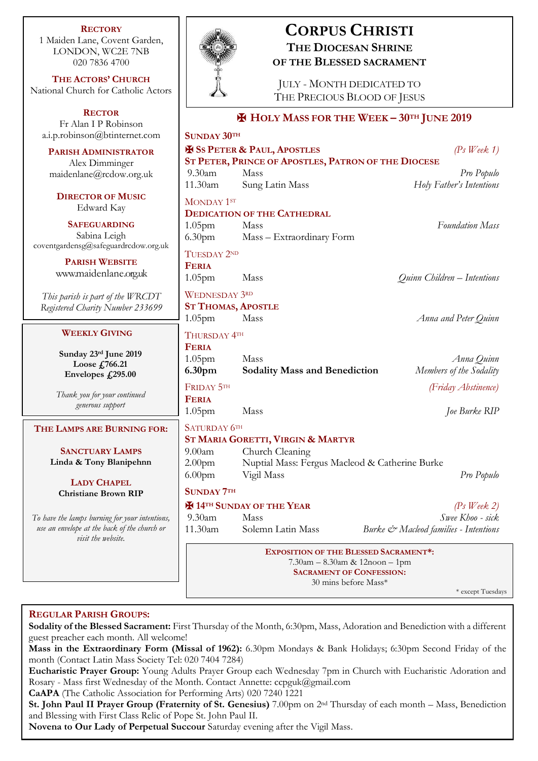**RECTORY** 1 Maiden Lane, Covent Garden, LONDON, WC2E 7NB 020 7836 4700

**THE ACTORS' CHURCH** National Church for Catholic Actors

**RECTOR** Fr Alan I P Robinson [a.i.p.robinson@btinternet.com](mailto:a.i.p.robinson@btinternet.com)

**PARISH ADMINISTRATOR** Alex Dimminger maidenlane@rcdow.org.uk

**DIRECTOR OF MUSIC** Edward Kay

**SAFEGUARDING** Sabina Leigh [coventgardensg@safeguardrcdow.org.uk](mailto:coventgardensg@safeguardrcdow.org.uk)

> **PARISH WEBSITE** [www.maidenlane.org.uk](http://www.maidenlane.org.uk/)

*This parish is part of the WRCDT Registered Charity Number 233699*

## **WEEKLY GIVING**

**Sunday 23rd June 2019 Loose £766.21 Envelopes £295.00**

*Thank you for your continued generous support*

#### **THE LAMPS ARE BURNING FOR:**

**SANCTUARY LAMPS Linda & Tony Blanipehnn**

**LADY CHAPEL Christiane Brown RIP**

*To have the lamps burning for your intentions, use an envelope at the back of the church or visit the website.*



**SUNDAY 30TH**

# **CORPUS CHRISTI THE DIOCESAN SHRINE OF THE BLESSED SACRAMENT**

JULY - MONTH DEDICATED TO THE PRECIOUS BLOOD OF JESUS

## ✠ **HOLY MASS FOR THE WEEK – 30TH JUNE 2019**

|                                  | $5$ UNDAY $30^{\text{th}}$                                                                                    | $(Ps \text{ } Week 1)$<br><b>ESS PETER &amp; PAUL, APOSTLES</b> |                                       |                          |  |
|----------------------------------|---------------------------------------------------------------------------------------------------------------|-----------------------------------------------------------------|---------------------------------------|--------------------------|--|
|                                  |                                                                                                               | ST PETER, PRINCE OF APOSTLES, PATRON OF THE DIOCESE             |                                       |                          |  |
|                                  | $9.30$ am                                                                                                     | Mass                                                            |                                       | Pro Populo               |  |
|                                  | 11.30am                                                                                                       | Sung Latin Mass                                                 |                                       | Holy Father's Intentions |  |
|                                  | MONDAY 1ST                                                                                                    |                                                                 |                                       |                          |  |
|                                  | <b>DEDICATION OF THE CATHEDRAL</b>                                                                            |                                                                 |                                       |                          |  |
|                                  | 1.05 <sub>pm</sub>                                                                                            | Mass                                                            |                                       | <b>Foundation Mass</b>   |  |
|                                  | 6.30 <sub>pm</sub>                                                                                            | Mass - Extraordinary Form                                       |                                       |                          |  |
|                                  | TUESDAY 2ND                                                                                                   |                                                                 |                                       |                          |  |
|                                  | <b>FERIA</b>                                                                                                  |                                                                 |                                       |                          |  |
|                                  | 1.05 <sub>pm</sub>                                                                                            | Mass                                                            | Quinn Children - Intentions           |                          |  |
|                                  | <b>WEDNESDAY 3RD</b><br><b>ST THOMAS, APOSTLE</b>                                                             |                                                                 |                                       |                          |  |
|                                  |                                                                                                               |                                                                 |                                       |                          |  |
|                                  | 1.05 <sub>pm</sub>                                                                                            | Mass                                                            |                                       | Anna and Peter Quinn     |  |
|                                  |                                                                                                               |                                                                 |                                       |                          |  |
|                                  |                                                                                                               | THURSDAY 4TH                                                    |                                       |                          |  |
|                                  | <b>FERIA</b>                                                                                                  |                                                                 |                                       |                          |  |
|                                  | 1.05 <sub>pm</sub>                                                                                            | Mass                                                            |                                       | Anna Quinn               |  |
|                                  | 6.30pm                                                                                                        | <b>Sodality Mass and Benediction</b>                            |                                       | Members of the Sodality  |  |
|                                  | FRIDAY 5TH                                                                                                    |                                                                 |                                       | (Friday Abstinence)      |  |
|                                  | <b>FERIA</b>                                                                                                  |                                                                 |                                       |                          |  |
|                                  | 1.05 <sub>pm</sub>                                                                                            | Mass                                                            |                                       | Joe Burke RIP            |  |
|                                  | SATURDAY 6TH                                                                                                  |                                                                 |                                       |                          |  |
|                                  |                                                                                                               | ST MARIA GORETTI, VIRGIN & MARTYR                               |                                       |                          |  |
|                                  | Church Cleaning<br>9.00 <sub>am</sub><br>Nuptial Mass: Fergus Macleod & Catherine Burke<br>2.00 <sub>pm</sub> |                                                                 |                                       |                          |  |
|                                  |                                                                                                               |                                                                 |                                       |                          |  |
| Vigil Mass<br>6.00 <sub>pm</sub> |                                                                                                               |                                                                 |                                       | Pro Populo               |  |
|                                  | <b>SUNDAY 7TH</b>                                                                                             |                                                                 |                                       |                          |  |
|                                  |                                                                                                               | <b>H</b> 14 <sup>TH</sup> SUNDAY OF THE YEAR<br>$(Ps$ Week 2)   |                                       |                          |  |
|                                  | 9.30am                                                                                                        | <b>Mass</b>                                                     |                                       | Swee Khoo - sick         |  |
|                                  | 11.30am                                                                                                       | Solemn Latin Mass                                               | Burke & Macleod families - Intentions |                          |  |
|                                  |                                                                                                               |                                                                 |                                       |                          |  |
|                                  |                                                                                                               | <b>EXPOSITION OF THE BLESSED SACRAMENT*:</b>                    |                                       |                          |  |
|                                  | 7.30am - 8.30am & 12noon - 1pm                                                                                |                                                                 |                                       |                          |  |
|                                  | <b>SACRAMENT OF CONFESSION:</b>                                                                               |                                                                 |                                       |                          |  |
|                                  |                                                                                                               | 30 mins before Mass*                                            |                                       | * except Tuesdays        |  |
|                                  |                                                                                                               |                                                                 |                                       |                          |  |

## **REGULAR PARISH GROUPS:**

**Sodality of the Blessed Sacrament:** First Thursday of the Month, 6:30pm, Mass, Adoration and Benediction with a different guest preacher each month. All welcome!

**Mass in the Extraordinary Form (Missal of 1962):** 6.30pm Mondays & Bank Holidays; 6:30pm Second Friday of the month (Contact Latin Mass Society Tel: 020 7404 7284)

**Eucharistic Prayer Group:** Young Adults Prayer Group each Wednesday 7pm in Church with Eucharistic Adoration and Rosary - Mass first Wednesday of the Month. Contact Annette: ccpguk@gmail.com

**CaAPA** (The Catholic Association for Performing Arts) 020 7240 1221

**St. John Paul II Prayer Group (Fraternity of St. Genesius)** 7.00pm on 2nd Thursday of each month – Mass, Benediction and Blessing with First Class Relic of Pope St. John Paul II.

**Novena to Our Lady of Perpetual Succour** Saturday evening after the Vigil Mass.